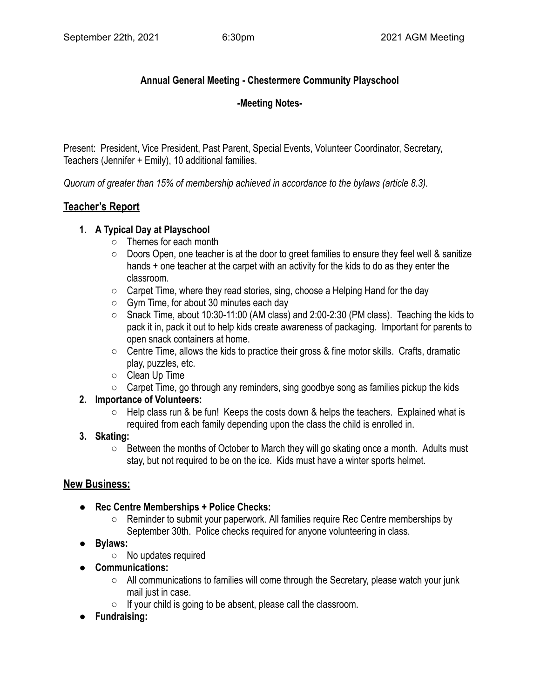# **Annual General Meeting - Chestermere Community Playschool**

### **-Meeting Notes-**

Present: President, Vice President, Past Parent, Special Events, Volunteer Coordinator, Secretary, Teachers (Jennifer + Emily), 10 additional families.

*Quorum of greater than 15% of membership achieved in accordance to the bylaws (article 8.3).*

### **Teacher's Report**

### **1. A Typical Day at Playschool**

- **○** Themes for each month
- **○** Doors Open, one teacher is at the door to greet families to ensure they feel well & sanitize hands + one teacher at the carpet with an activity for the kids to do as they enter the classroom.
- Carpet Time, where they read stories, sing, choose a Helping Hand for the day
- Gym Time, for about 30 minutes each day
- Snack Time, about 10:30-11:00 (AM class) and 2:00-2:30 (PM class). Teaching the kids to pack it in, pack it out to help kids create awareness of packaging. Important for parents to open snack containers at home.
- Centre Time, allows the kids to practice their gross & fine motor skills. Crafts, dramatic play, puzzles, etc.
- Clean Up Time
- Carpet Time, go through any reminders, sing goodbye song as families pickup the kids

### **2. Importance of Volunteers:**

**○** Help class run & be fun! Keeps the costs down & helps the teachers. Explained what is required from each family depending upon the class the child is enrolled in.

### **3. Skating:**

**○** Between the months of October to March they will go skating once a month. Adults must stay, but not required to be on the ice. Kids must have a winter sports helmet.

### **New Business:**

- **Rec Centre Memberships + Police Checks:**
	- Reminder to submit your paperwork. All families require Rec Centre memberships by September 30th. Police checks required for anyone volunteering in class.
- **● Bylaws:**
	- No updates required
- **Communications:**
	- $\circ$  All communications to families will come through the Secretary, please watch your junk mail just in case.
	- $\circ$  If your child is going to be absent, please call the classroom.
- **● Fundraising:**